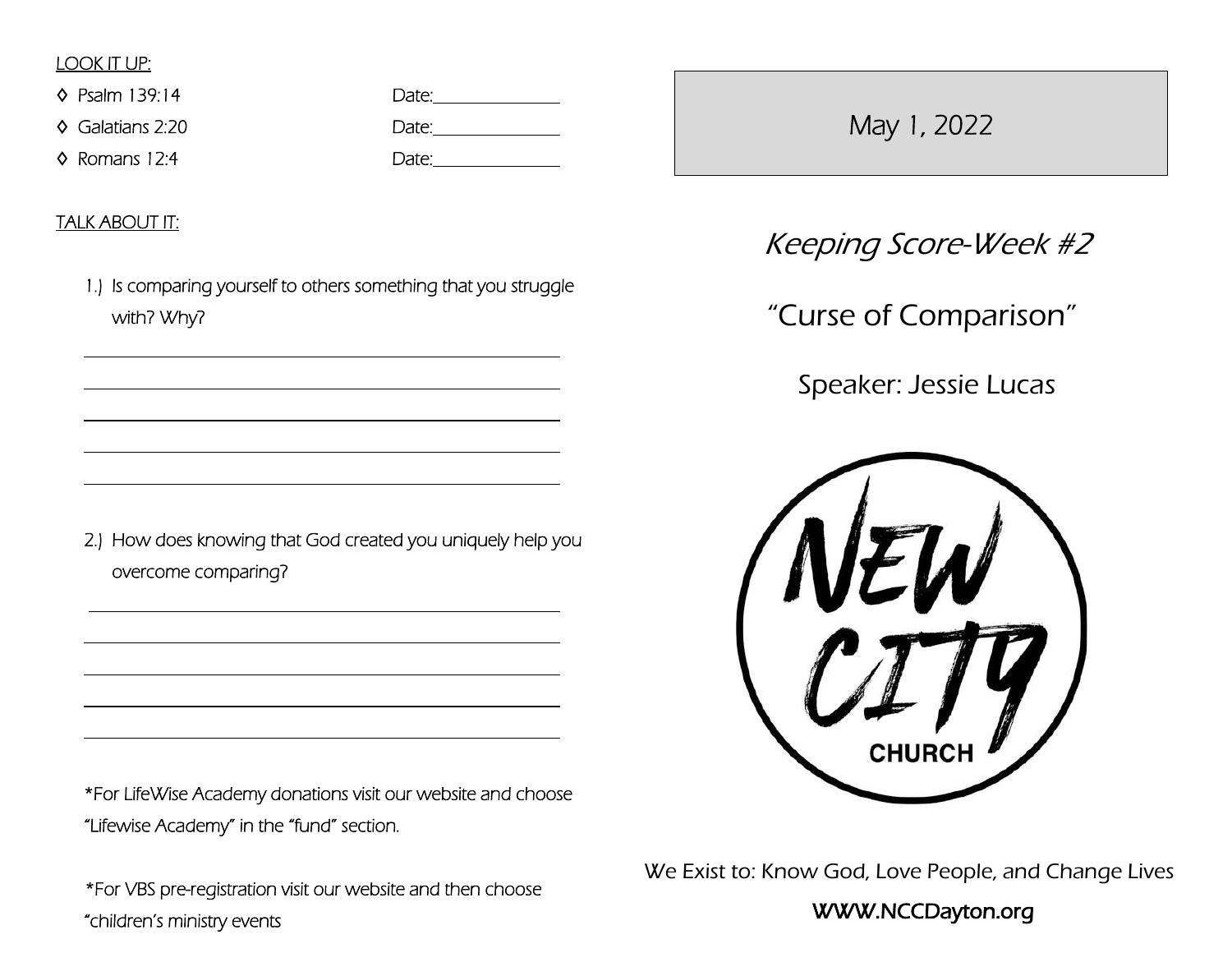# LOOK IT UP:

♦ Psalm 139:14

 $\Diamond$  Galatians 2:20

♦ Romans 12:4

| Date: |  |
|-------|--|
| Date: |  |
| Date: |  |

TALK ABOUT IT:

 $\overline{a}$ 

 $\overline{a}$ 

 $\overline{a}$ 

 $\overline{a}$ 

 $\overline{a}$ 

 $\overline{a}$ 

 $\overline{a}$ 

 $\overline{a}$ 

 $\overline{a}$ 

1.) Is comparing yourself to others something that you struggle with? Why?

2.) How does knowing that God created you uniquely help you overcome comparing?

\*For LifeWise Academy donations visit our website and choose "Lifewise Academy" in the "fund" section.

\*For VBS pre-registration visit our website and then choose "children's ministry events

May 1, 2022

Keeping Score-Week #2

"Curse of Comparison"

Speaker: Jessie Lucas



We Exist to: Know God, Love People, and Change Lives

# WWW.NCCDayton.org